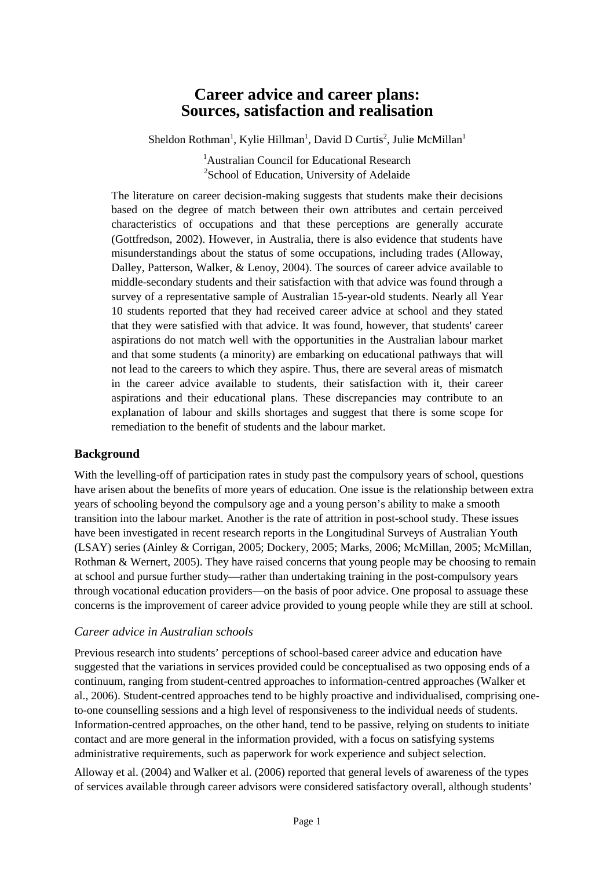# **Career advice and career plans: Sources, satisfaction and realisation**

Sheldon Rothman<sup>1</sup>, Kylie Hillman<sup>1</sup>, David D Curtis<sup>2</sup>, Julie McMillan<sup>1</sup>

<sup>1</sup> Australian Council for Educational Research <sup>2</sup>School of Education, University of Adelaide

The literature on career decision-making suggests that students make their decisions based on the degree of match between their own attributes and certain perceived characteristics of occupations and that these perceptions are generally accurate (Gottfredson, 2002). However, in Australia, there is also evidence that students have misunderstandings about the status of some occupations, including trades (Alloway, Dalley, Patterson, Walker, & Lenoy, 2004). The sources of career advice available to middle-secondary students and their satisfaction with that advice was found through a survey of a representative sample of Australian 15-year-old students. Nearly all Year 10 students reported that they had received career advice at school and they stated that they were satisfied with that advice. It was found, however, that students' career aspirations do not match well with the opportunities in the Australian labour market and that some students (a minority) are embarking on educational pathways that will not lead to the careers to which they aspire. Thus, there are several areas of mismatch in the career advice available to students, their satisfaction with it, their career aspirations and their educational plans. These discrepancies may contribute to an explanation of labour and skills shortages and suggest that there is some scope for remediation to the benefit of students and the labour market.

### **Background**

With the levelling-off of participation rates in study past the compulsory years of school, questions have arisen about the benefits of more years of education. One issue is the relationship between extra years of schooling beyond the compulsory age and a young person's ability to make a smooth transition into the labour market. Another is the rate of attrition in post-school study. These issues have been investigated in recent research reports in the Longitudinal Surveys of Australian Youth (LSAY) series (Ainley & Corrigan, 2005; Dockery, 2005; Marks, 2006; McMillan, 2005; McMillan, Rothman & Wernert, 2005). They have raised concerns that young people may be choosing to remain at school and pursue further study—rather than undertaking training in the post-compulsory years through vocational education providers—on the basis of poor advice. One proposal to assuage these concerns is the improvement of career advice provided to young people while they are still at school.

#### *Career advice in Australian schools*

Previous research into students' perceptions of school-based career advice and education have suggested that the variations in services provided could be conceptualised as two opposing ends of a continuum, ranging from student-centred approaches to information-centred approaches (Walker et al., 2006). Student-centred approaches tend to be highly proactive and individualised, comprising oneto-one counselling sessions and a high level of responsiveness to the individual needs of students. Information-centred approaches, on the other hand, tend to be passive, relying on students to initiate contact and are more general in the information provided, with a focus on satisfying systems administrative requirements, such as paperwork for work experience and subject selection.

Alloway et al. (2004) and Walker et al. (2006) reported that general levels of awareness of the types of services available through career advisors were considered satisfactory overall, although students'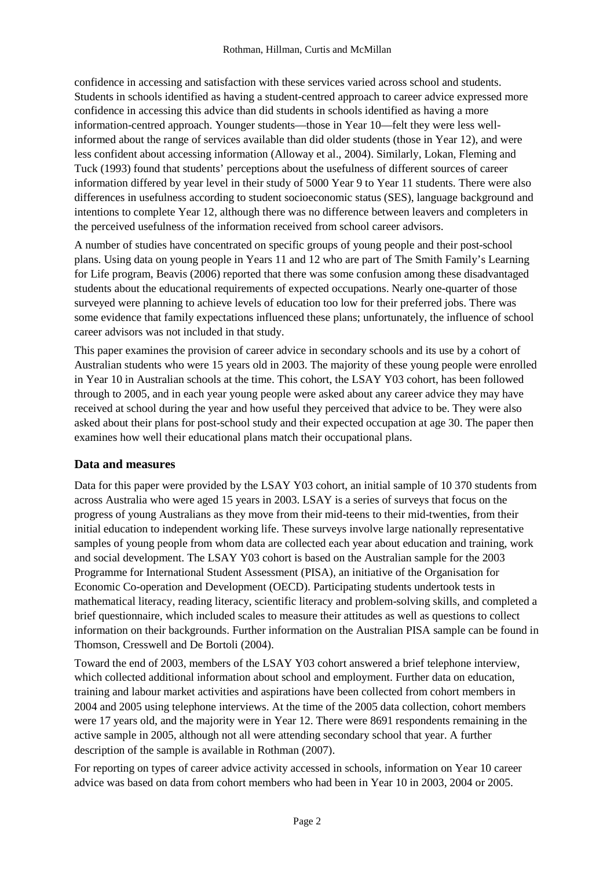confidence in accessing and satisfaction with these services varied across school and students. Students in schools identified as having a student-centred approach to career advice expressed more confidence in accessing this advice than did students in schools identified as having a more information-centred approach. Younger students—those in Year 10—felt they were less wellinformed about the range of services available than did older students (those in Year 12), and were less confident about accessing information (Alloway et al., 2004). Similarly, Lokan, Fleming and Tuck (1993) found that students' perceptions about the usefulness of different sources of career information differed by year level in their study of 5000 Year 9 to Year 11 students. There were also differences in usefulness according to student socioeconomic status (SES), language background and intentions to complete Year 12, although there was no difference between leavers and completers in the perceived usefulness of the information received from school career advisors.

A number of studies have concentrated on specific groups of young people and their post-school plans. Using data on young people in Years 11 and 12 who are part of The Smith Family's Learning for Life program, Beavis (2006) reported that there was some confusion among these disadvantaged students about the educational requirements of expected occupations. Nearly one-quarter of those surveyed were planning to achieve levels of education too low for their preferred jobs. There was some evidence that family expectations influenced these plans; unfortunately, the influence of school career advisors was not included in that study.

This paper examines the provision of career advice in secondary schools and its use by a cohort of Australian students who were 15 years old in 2003. The majority of these young people were enrolled in Year 10 in Australian schools at the time. This cohort, the LSAY Y03 cohort, has been followed through to 2005, and in each year young people were asked about any career advice they may have received at school during the year and how useful they perceived that advice to be. They were also asked about their plans for post-school study and their expected occupation at age 30. The paper then examines how well their educational plans match their occupational plans.

### **Data and measures**

Data for this paper were provided by the LSAY Y03 cohort, an initial sample of 10 370 students from across Australia who were aged 15 years in 2003. LSAY is a series of surveys that focus on the progress of young Australians as they move from their mid-teens to their mid-twenties, from their initial education to independent working life. These surveys involve large nationally representative samples of young people from whom data are collected each year about education and training, work and social development. The LSAY Y03 cohort is based on the Australian sample for the 2003 Programme for International Student Assessment (PISA), an initiative of the Organisation for Economic Co-operation and Development (OECD). Participating students undertook tests in mathematical literacy, reading literacy, scientific literacy and problem-solving skills, and completed a brief questionnaire, which included scales to measure their attitudes as well as questions to collect information on their backgrounds. Further information on the Australian PISA sample can be found in Thomson, Cresswell and De Bortoli (2004).

Toward the end of 2003, members of the LSAY Y03 cohort answered a brief telephone interview, which collected additional information about school and employment. Further data on education, training and labour market activities and aspirations have been collected from cohort members in 2004 and 2005 using telephone interviews. At the time of the 2005 data collection, cohort members were 17 years old, and the majority were in Year 12. There were 8691 respondents remaining in the active sample in 2005, although not all were attending secondary school that year. A further description of the sample is available in Rothman (2007).

For reporting on types of career advice activity accessed in schools, information on Year 10 career advice was based on data from cohort members who had been in Year 10 in 2003, 2004 or 2005.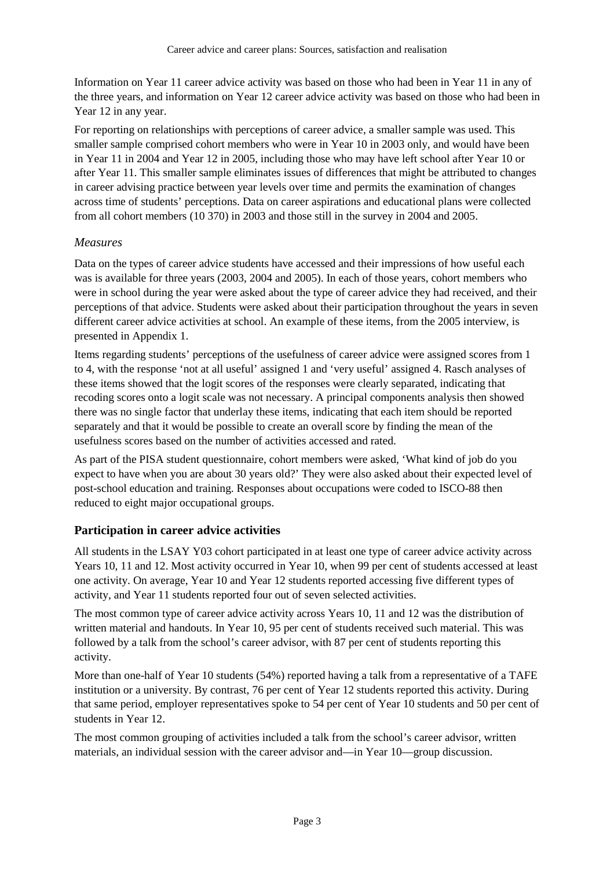Information on Year 11 career advice activity was based on those who had been in Year 11 in any of the three years, and information on Year 12 career advice activity was based on those who had been in Year 12 in any year.

For reporting on relationships with perceptions of career advice, a smaller sample was used. This smaller sample comprised cohort members who were in Year 10 in 2003 only, and would have been in Year 11 in 2004 and Year 12 in 2005, including those who may have left school after Year 10 or after Year 11. This smaller sample eliminates issues of differences that might be attributed to changes in career advising practice between year levels over time and permits the examination of changes across time of students' perceptions. Data on career aspirations and educational plans were collected from all cohort members (10 370) in 2003 and those still in the survey in 2004 and 2005.

#### *Measures*

Data on the types of career advice students have accessed and their impressions of how useful each was is available for three years (2003, 2004 and 2005). In each of those years, cohort members who were in school during the year were asked about the type of career advice they had received, and their perceptions of that advice. Students were asked about their participation throughout the years in seven different career advice activities at school. An example of these items, from the 2005 interview, is presented in Appendix 1.

Items regarding students' perceptions of the usefulness of career advice were assigned scores from 1 to 4, with the response 'not at all useful' assigned 1 and 'very useful' assigned 4. Rasch analyses of these items showed that the logit scores of the responses were clearly separated, indicating that recoding scores onto a logit scale was not necessary. A principal components analysis then showed there was no single factor that underlay these items, indicating that each item should be reported separately and that it would be possible to create an overall score by finding the mean of the usefulness scores based on the number of activities accessed and rated.

As part of the PISA student questionnaire, cohort members were asked, 'What kind of job do you expect to have when you are about 30 years old?' They were also asked about their expected level of post-school education and training. Responses about occupations were coded to ISCO-88 then reduced to eight major occupational groups.

### **Participation in career advice activities**

All students in the LSAY Y03 cohort participated in at least one type of career advice activity across Years 10, 11 and 12. Most activity occurred in Year 10, when 99 per cent of students accessed at least one activity. On average, Year 10 and Year 12 students reported accessing five different types of activity, and Year 11 students reported four out of seven selected activities.

The most common type of career advice activity across Years 10, 11 and 12 was the distribution of written material and handouts. In Year 10, 95 per cent of students received such material. This was followed by a talk from the school's career advisor, with 87 per cent of students reporting this activity.

More than one-half of Year 10 students (54%) reported having a talk from a representative of a TAFE institution or a university. By contrast, 76 per cent of Year 12 students reported this activity. During that same period, employer representatives spoke to 54 per cent of Year 10 students and 50 per cent of students in Year 12.

The most common grouping of activities included a talk from the school's career advisor, written materials, an individual session with the career advisor and—in Year 10—group discussion.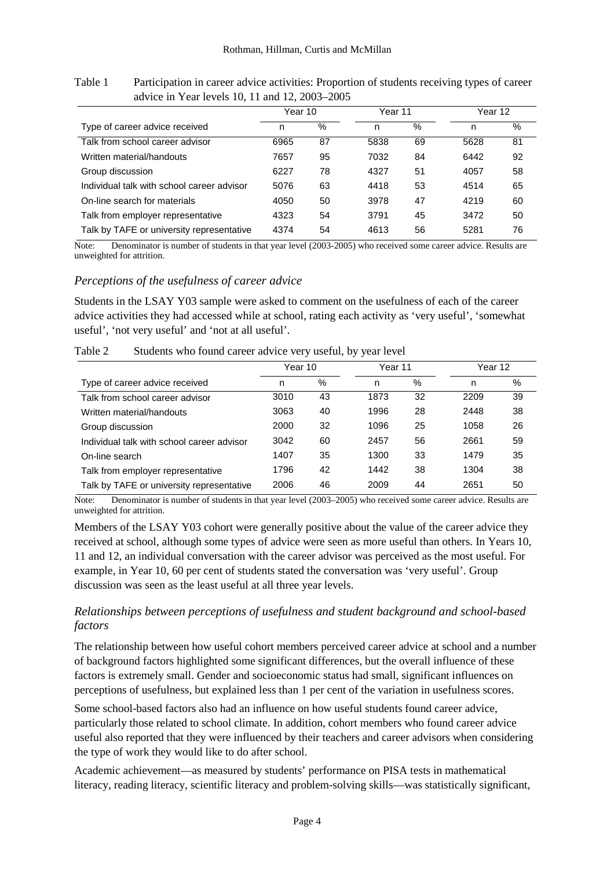|                                            | Year 10 |    | Year 11 |      | Year 12 |      |
|--------------------------------------------|---------|----|---------|------|---------|------|
| Type of career advice received             | n       | %  | n       | $\%$ | n       | $\%$ |
| Talk from school career advisor            | 6965    | 87 | 5838    | 69   | 5628    | 81   |
| Written material/handouts                  | 7657    | 95 | 7032    | 84   | 6442    | 92   |
| Group discussion                           | 6227    | 78 | 4327    | 51   | 4057    | 58   |
| Individual talk with school career advisor | 5076    | 63 | 4418    | 53   | 4514    | 65   |
| On-line search for materials               | 4050    | 50 | 3978    | 47   | 4219    | 60   |
| Talk from employer representative          | 4323    | 54 | 3791    | 45   | 3472    | 50   |
| Talk by TAFE or university representative  | 4374    | 54 | 4613    | 56   | 5281    | 76   |

Table 1 Participation in career advice activities: Proportion of students receiving types of career advice in Year levels 10, 11 and 12, 2003–2005

Note: Denominator is number of students in that year level (2003-2005) who received some career advice. Results are unweighted for attrition.

### *Perceptions of the usefulness of career advice*

Students in the LSAY Y03 sample were asked to comment on the usefulness of each of the career advice activities they had accessed while at school, rating each activity as 'very useful', 'somewhat useful', 'not very useful' and 'not at all useful'.

|                                            | Year 10 |    | Year 11 |    | Year 12 |    |
|--------------------------------------------|---------|----|---------|----|---------|----|
| Type of career advice received             | n       | %  | n       | %  | n       | %  |
| Talk from school career advisor            | 3010    | 43 | 1873    | 32 | 2209    | 39 |
| Written material/handouts                  | 3063    | 40 | 1996    | 28 | 2448    | 38 |
| Group discussion                           | 2000    | 32 | 1096    | 25 | 1058    | 26 |
| Individual talk with school career advisor | 3042    | 60 | 2457    | 56 | 2661    | 59 |
| On-line search                             | 1407    | 35 | 1300    | 33 | 1479    | 35 |
| Talk from employer representative          | 1796    | 42 | 1442    | 38 | 1304    | 38 |
| Talk by TAFE or university representative  | 2006    | 46 | 2009    | 44 | 2651    | 50 |

Table 2 Students who found career advice very useful, by year level

Note: Denominator is number of students in that year level (2003–2005) who received some career advice. Results are unweighted for attrition.

Members of the LSAY Y03 cohort were generally positive about the value of the career advice they received at school, although some types of advice were seen as more useful than others. In Years 10, 11 and 12, an individual conversation with the career advisor was perceived as the most useful. For example, in Year 10, 60 per cent of students stated the conversation was 'very useful'. Group discussion was seen as the least useful at all three year levels.

### *Relationships between perceptions of usefulness and student background and school-based factors*

The relationship between how useful cohort members perceived career advice at school and a number of background factors highlighted some significant differences, but the overall influence of these factors is extremely small. Gender and socioeconomic status had small, significant influences on perceptions of usefulness, but explained less than 1 per cent of the variation in usefulness scores.

Some school-based factors also had an influence on how useful students found career advice, particularly those related to school climate. In addition, cohort members who found career advice useful also reported that they were influenced by their teachers and career advisors when considering the type of work they would like to do after school.

Academic achievement—as measured by students' performance on PISA tests in mathematical literacy, reading literacy, scientific literacy and problem-solving skills—was statistically significant,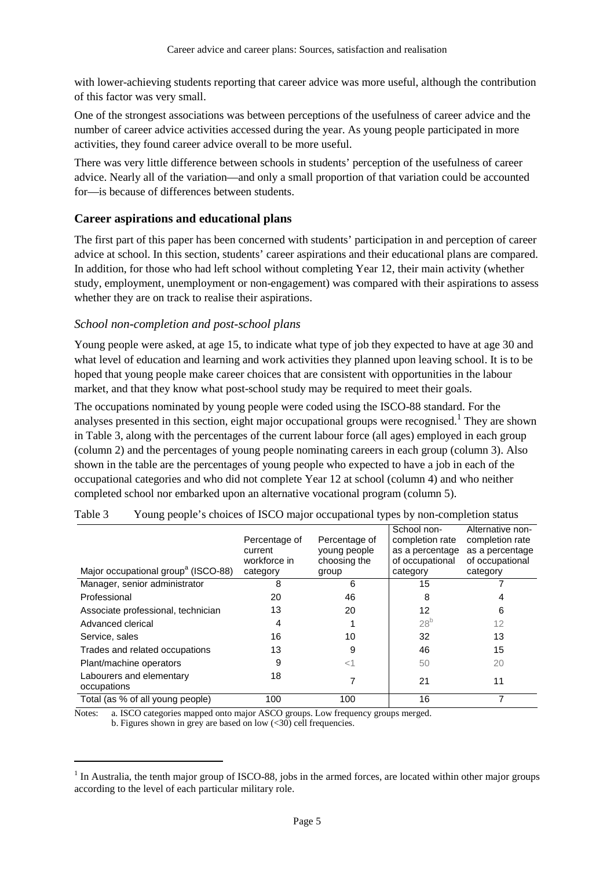with lower-achieving students reporting that career advice was more useful, although the contribution of this factor was very small.

One of the strongest associations was between perceptions of the usefulness of career advice and the number of career advice activities accessed during the year. As young people participated in more activities, they found career advice overall to be more useful.

There was very little difference between schools in students' perception of the usefulness of career advice. Nearly all of the variation—and only a small proportion of that variation could be accounted for—is because of differences between students.

#### **Career aspirations and educational plans**

The first part of this paper has been concerned with students' participation in and perception of career advice at school. In this section, students' career aspirations and their educational plans are compared. In addition, for those who had left school without completing Year 12, their main activity (whether study, employment, unemployment or non-engagement) was compared with their aspirations to assess whether they are on track to realise their aspirations.

#### *School non-completion and post-school plans*

Young people were asked, at age 15, to indicate what type of job they expected to have at age 30 and what level of education and learning and work activities they planned upon leaving school. It is to be hoped that young people make career choices that are consistent with opportunities in the labour market, and that they know what post-school study may be required to meet their goals.

The occupations nominated by young people were coded using the ISCO-88 standard. For the analyses presented in this section, eight major occupational groups were recognised.<sup>1</sup> They are shown in Table 3, along with the percentages of the current labour force (all ages) employed in each group (column 2) and the percentages of young people nominating careers in each group (column 3). Also shown in the table are the percentages of young people who expected to have a job in each of the occupational categories and who did not complete Year 12 at school (column 4) and who neither completed school nor embarked upon an alternative vocational program (column 5).

| Major occupational group <sup>a</sup> (ISCO-88) | Percentage of<br>current<br>workforce in<br>category | Percentage of<br>young people<br>choosing the<br>group | School non-<br>completion rate<br>as a percentage<br>of occupational<br>category | Alternative non-<br>completion rate<br>as a percentage<br>of occupational<br>category |
|-------------------------------------------------|------------------------------------------------------|--------------------------------------------------------|----------------------------------------------------------------------------------|---------------------------------------------------------------------------------------|
| Manager, senior administrator                   | 8                                                    | 6                                                      | 15                                                                               |                                                                                       |
| Professional                                    | 20                                                   | 46                                                     | 8                                                                                | 4                                                                                     |
| Associate professional, technician              | 13                                                   | 20                                                     | 12                                                                               | 6                                                                                     |
| Advanced clerical                               | 4                                                    |                                                        | 28 <sup>b</sup>                                                                  | 12                                                                                    |
| Service, sales                                  | 16                                                   | 10                                                     | 32                                                                               | 13                                                                                    |
| Trades and related occupations                  | 13                                                   | 9                                                      | 46                                                                               | 15                                                                                    |
| Plant/machine operators                         | 9                                                    | ا>                                                     | 50                                                                               | 20                                                                                    |
| Labourers and elementary<br>occupations         | 18                                                   |                                                        | 21                                                                               | 11                                                                                    |
| Total (as % of all young people)                | 100                                                  | 100                                                    | 16                                                                               |                                                                                       |

| Table 3 |  |  | Young people's choices of ISCO major occupational types by non-completion status |
|---------|--|--|----------------------------------------------------------------------------------|
|         |  |  |                                                                                  |

Notes: a. ISCO categories mapped onto major ASCO groups. Low frequency groups merged. b. Figures shown in grey are based on low (<30) cell frequencies.

 $\overline{a}$ 

 $<sup>1</sup>$  In Australia, the tenth major group of ISCO-88, jobs in the armed forces, are located within other major groups</sup> according to the level of each particular military role.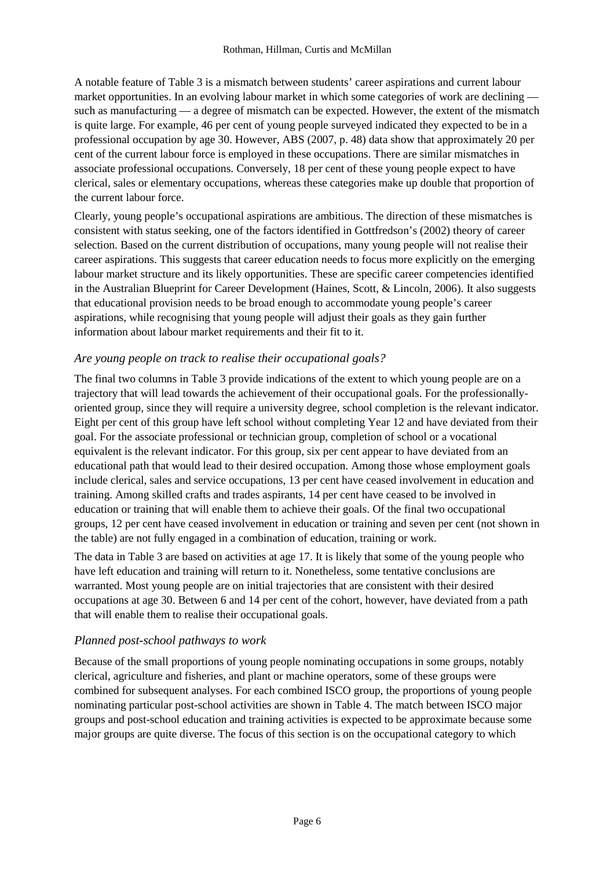A notable feature of Table 3 is a mismatch between students' career aspirations and current labour market opportunities. In an evolving labour market in which some categories of work are declining such as manufacturing — a degree of mismatch can be expected. However, the extent of the mismatch is quite large. For example, 46 per cent of young people surveyed indicated they expected to be in a professional occupation by age 30. However, ABS (2007, p. 48) data show that approximately 20 per cent of the current labour force is employed in these occupations. There are similar mismatches in associate professional occupations. Conversely, 18 per cent of these young people expect to have clerical, sales or elementary occupations, whereas these categories make up double that proportion of the current labour force.

Clearly, young people's occupational aspirations are ambitious. The direction of these mismatches is consistent with status seeking, one of the factors identified in Gottfredson's (2002) theory of career selection. Based on the current distribution of occupations, many young people will not realise their career aspirations. This suggests that career education needs to focus more explicitly on the emerging labour market structure and its likely opportunities. These are specific career competencies identified in the Australian Blueprint for Career Development (Haines, Scott, & Lincoln, 2006). It also suggests that educational provision needs to be broad enough to accommodate young people's career aspirations, while recognising that young people will adjust their goals as they gain further information about labour market requirements and their fit to it.

### *Are young people on track to realise their occupational goals?*

The final two columns in Table 3 provide indications of the extent to which young people are on a trajectory that will lead towards the achievement of their occupational goals. For the professionallyoriented group, since they will require a university degree, school completion is the relevant indicator. Eight per cent of this group have left school without completing Year 12 and have deviated from their goal. For the associate professional or technician group, completion of school or a vocational equivalent is the relevant indicator. For this group, six per cent appear to have deviated from an educational path that would lead to their desired occupation. Among those whose employment goals include clerical, sales and service occupations, 13 per cent have ceased involvement in education and training. Among skilled crafts and trades aspirants, 14 per cent have ceased to be involved in education or training that will enable them to achieve their goals. Of the final two occupational groups, 12 per cent have ceased involvement in education or training and seven per cent (not shown in the table) are not fully engaged in a combination of education, training or work.

The data in Table 3 are based on activities at age 17. It is likely that some of the young people who have left education and training will return to it. Nonetheless, some tentative conclusions are warranted. Most young people are on initial trajectories that are consistent with their desired occupations at age 30. Between 6 and 14 per cent of the cohort, however, have deviated from a path that will enable them to realise their occupational goals.

### *Planned post-school pathways to work*

Because of the small proportions of young people nominating occupations in some groups, notably clerical, agriculture and fisheries, and plant or machine operators, some of these groups were combined for subsequent analyses. For each combined ISCO group, the proportions of young people nominating particular post-school activities are shown in Table 4. The match between ISCO major groups and post-school education and training activities is expected to be approximate because some major groups are quite diverse. The focus of this section is on the occupational category to which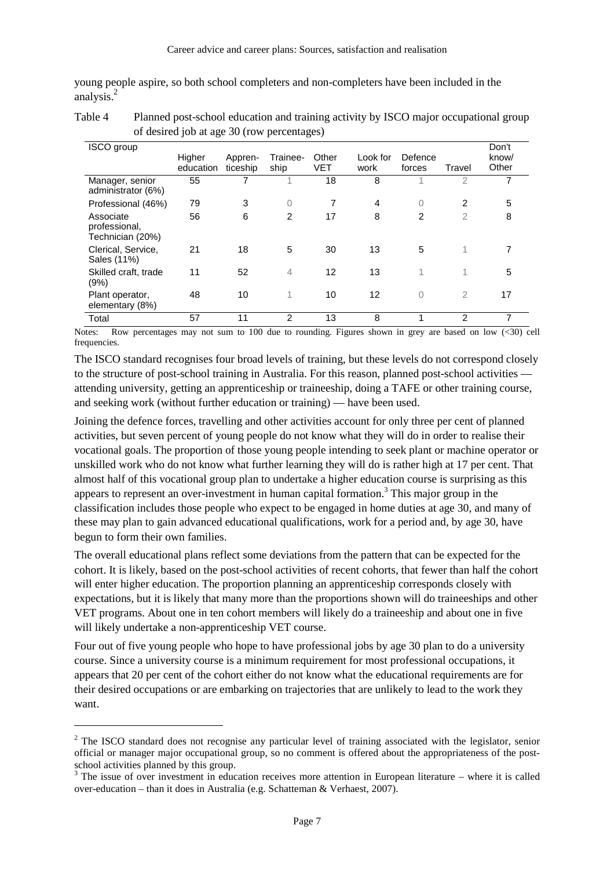young people aspire, so both school completers and non-completers have been included in the analysis.<sup>2</sup>

| Table 4 | Planned post-school education and training activity by ISCO major occupational group |
|---------|--------------------------------------------------------------------------------------|
|         | of desired job at age 30 (row percentages)                                           |

| <b>ISCO</b> group                              | Higher<br>education | Appren-<br>ticeship | Trainee-<br>ship | Other<br>VET | Look for<br>work | Defence<br>forces | Travel         | Don't<br>know/<br>Other |
|------------------------------------------------|---------------------|---------------------|------------------|--------------|------------------|-------------------|----------------|-------------------------|
| Manager, senior<br>administrator (6%)          | 55                  |                     |                  | 18           | 8                |                   | $\overline{2}$ |                         |
| Professional (46%)                             | 79                  | 3                   | $\overline{0}$   | 7            | $\overline{4}$   | 0                 | 2              | 5                       |
| Associate<br>professional,<br>Technician (20%) | 56                  | 6                   | 2                | 17           | 8                | 2                 | $\overline{2}$ | 8                       |
| Clerical, Service,<br>Sales (11%)              | 21                  | 18                  | 5                | 30           | 13               | 5                 | 1              |                         |
| Skilled craft, trade<br>(9%)                   | 11                  | 52                  | 4                | 12           | 13               | 1                 | 1              | 5                       |
| Plant operator,<br>elementary (8%)             | 48                  | 10                  | 1                | 10           | 12               | $\overline{0}$    | $\overline{2}$ | 17                      |
| Total                                          | 57                  | 11                  | 2                | 13           | 8                |                   | 2              |                         |

Notes: Row percentages may not sum to 100 due to rounding. Figures shown in grey are based on low  $\langle 30 \rangle$  cell frequencies.

The ISCO standard recognises four broad levels of training, but these levels do not correspond closely to the structure of post-school training in Australia. For this reason, planned post-school activities attending university, getting an apprenticeship or traineeship, doing a TAFE or other training course, and seeking work (without further education or training) — have been used.

Joining the defence forces, travelling and other activities account for only three per cent of planned activities, but seven percent of young people do not know what they will do in order to realise their vocational goals. The proportion of those young people intending to seek plant or machine operator or unskilled work who do not know what further learning they will do is rather high at 17 per cent. That almost half of this vocational group plan to undertake a higher education course is surprising as this appears to represent an over-investment in human capital formation.<sup>3</sup> This major group in the classification includes those people who expect to be engaged in home duties at age 30, and many of these may plan to gain advanced educational qualifications, work for a period and, by age 30, have begun to form their own families.

The overall educational plans reflect some deviations from the pattern that can be expected for the cohort. It is likely, based on the post-school activities of recent cohorts, that fewer than half the cohort will enter higher education. The proportion planning an apprenticeship corresponds closely with expectations, but it is likely that many more than the proportions shown will do traineeships and other VET programs. About one in ten cohort members will likely do a traineeship and about one in five will likely undertake a non-apprenticeship VET course.

Four out of five young people who hope to have professional jobs by age 30 plan to do a university course. Since a university course is a minimum requirement for most professional occupations, it appears that 20 per cent of the cohort either do not know what the educational requirements are for their desired occupations or are embarking on trajectories that are unlikely to lead to the work they want.

 $\overline{a}$ 

 $2$  The ISCO standard does not recognise any particular level of training associated with the legislator, senior official or manager major occupational group, so no comment is offered about the appropriateness of the postschool activities planned by this group.

 $3$  The issue of over investment in education receives more attention in European literature – where it is called over-education – than it does in Australia (e.g. Schatteman & Verhaest, 2007).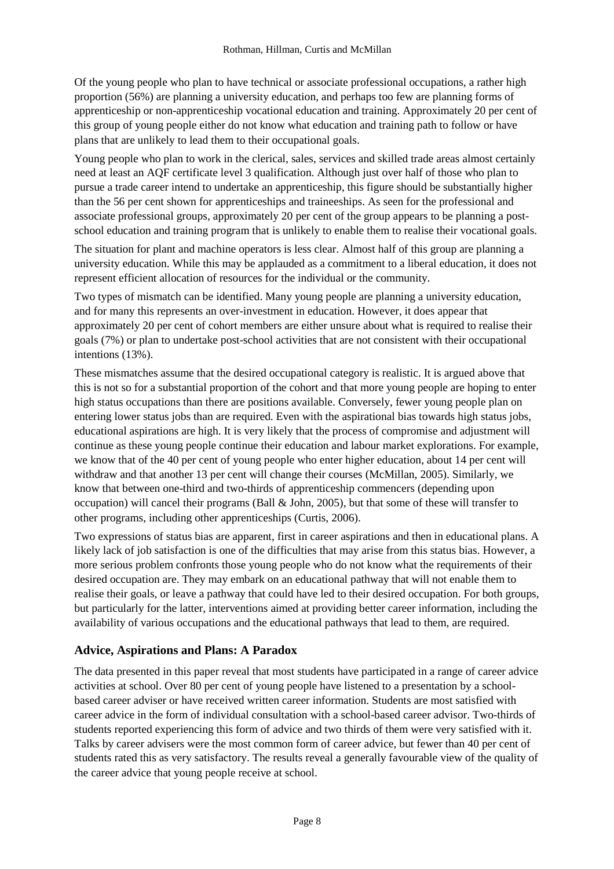Of the young people who plan to have technical or associate professional occupations, a rather high proportion (56%) are planning a university education, and perhaps too few are planning forms of apprenticeship or non-apprenticeship vocational education and training. Approximately 20 per cent of this group of young people either do not know what education and training path to follow or have plans that are unlikely to lead them to their occupational goals.

Young people who plan to work in the clerical, sales, services and skilled trade areas almost certainly need at least an AQF certificate level 3 qualification. Although just over half of those who plan to pursue a trade career intend to undertake an apprenticeship, this figure should be substantially higher than the 56 per cent shown for apprenticeships and traineeships. As seen for the professional and associate professional groups, approximately 20 per cent of the group appears to be planning a postschool education and training program that is unlikely to enable them to realise their vocational goals.

The situation for plant and machine operators is less clear. Almost half of this group are planning a university education. While this may be applauded as a commitment to a liberal education, it does not represent efficient allocation of resources for the individual or the community.

Two types of mismatch can be identified. Many young people are planning a university education, and for many this represents an over-investment in education. However, it does appear that approximately 20 per cent of cohort members are either unsure about what is required to realise their goals (7%) or plan to undertake post-school activities that are not consistent with their occupational intentions (13%).

These mismatches assume that the desired occupational category is realistic. It is argued above that this is not so for a substantial proportion of the cohort and that more young people are hoping to enter high status occupations than there are positions available. Conversely, fewer young people plan on entering lower status jobs than are required. Even with the aspirational bias towards high status jobs, educational aspirations are high. It is very likely that the process of compromise and adjustment will continue as these young people continue their education and labour market explorations. For example, we know that of the 40 per cent of young people who enter higher education, about 14 per cent will withdraw and that another 13 per cent will change their courses (McMillan, 2005). Similarly, we know that between one-third and two-thirds of apprenticeship commencers (depending upon occupation) will cancel their programs (Ball & John, 2005), but that some of these will transfer to other programs, including other apprenticeships (Curtis, 2006).

Two expressions of status bias are apparent, first in career aspirations and then in educational plans. A likely lack of job satisfaction is one of the difficulties that may arise from this status bias. However, a more serious problem confronts those young people who do not know what the requirements of their desired occupation are. They may embark on an educational pathway that will not enable them to realise their goals, or leave a pathway that could have led to their desired occupation. For both groups, but particularly for the latter, interventions aimed at providing better career information, including the availability of various occupations and the educational pathways that lead to them, are required.

### **Advice, Aspirations and Plans: A Paradox**

The data presented in this paper reveal that most students have participated in a range of career advice activities at school. Over 80 per cent of young people have listened to a presentation by a schoolbased career adviser or have received written career information. Students are most satisfied with career advice in the form of individual consultation with a school-based career advisor. Two-thirds of students reported experiencing this form of advice and two thirds of them were very satisfied with it. Talks by career advisers were the most common form of career advice, but fewer than 40 per cent of students rated this as very satisfactory. The results reveal a generally favourable view of the quality of the career advice that young people receive at school.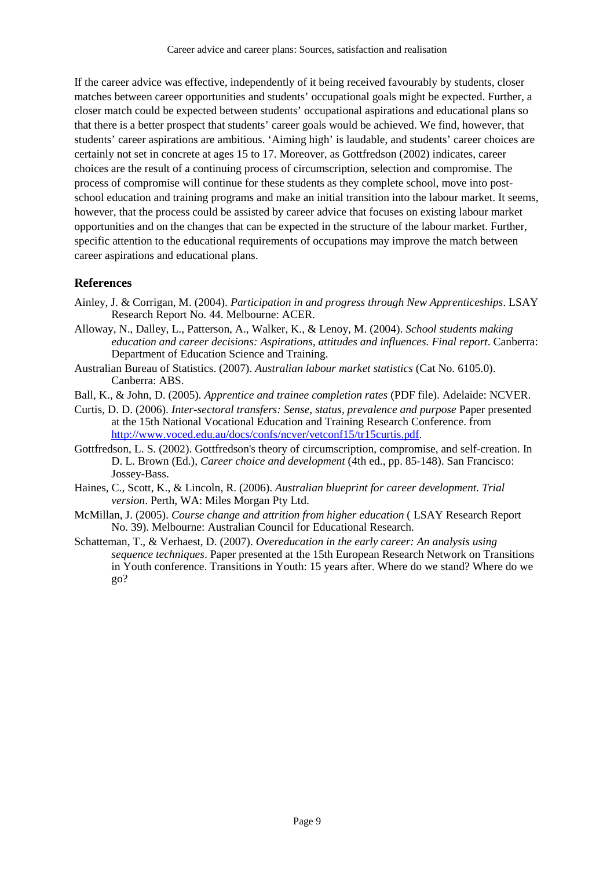If the career advice was effective, independently of it being received favourably by students, closer matches between career opportunities and students' occupational goals might be expected. Further, a closer match could be expected between students' occupational aspirations and educational plans so that there is a better prospect that students' career goals would be achieved. We find, however, that students' career aspirations are ambitious. 'Aiming high' is laudable, and students' career choices are certainly not set in concrete at ages 15 to 17. Moreover, as Gottfredson (2002) indicates, career choices are the result of a continuing process of circumscription, selection and compromise. The process of compromise will continue for these students as they complete school, move into postschool education and training programs and make an initial transition into the labour market. It seems, however, that the process could be assisted by career advice that focuses on existing labour market opportunities and on the changes that can be expected in the structure of the labour market. Further, specific attention to the educational requirements of occupations may improve the match between career aspirations and educational plans.

#### **References**

- Ainley, J. & Corrigan, M. (2004). *Participation in and progress through New Apprenticeships*. LSAY Research Report No. 44. Melbourne: ACER.
- Alloway, N., Dalley, L., Patterson, A., Walker, K., & Lenoy, M. (2004). *School students making education and career decisions: Aspirations, attitudes and influences. Final report*. Canberra: Department of Education Science and Training.
- Australian Bureau of Statistics. (2007). *Australian labour market statistics* (Cat No. 6105.0). Canberra: ABS.
- Ball, K., & John, D. (2005). *Apprentice and trainee completion rates* (PDF file). Adelaide: NCVER.
- Curtis, D. D. (2006). *Inter-sectoral transfers: Sense, status, prevalence and purpose* Paper presented at the 15th National Vocational Education and Training Research Conference. from http://www.voced.edu.au/docs/confs/ncver/vetconf15/tr15curtis.pdf.
- Gottfredson, L. S. (2002). Gottfredson's theory of circumscription, compromise, and self-creation. In D. L. Brown (Ed.), *Career choice and development* (4th ed., pp. 85-148). San Francisco: Jossey-Bass.
- Haines, C., Scott, K., & Lincoln, R. (2006). *Australian blueprint for career development. Trial version*. Perth, WA: Miles Morgan Pty Ltd.
- McMillan, J. (2005). *Course change and attrition from higher education* ( LSAY Research Report No. 39). Melbourne: Australian Council for Educational Research.
- Schatteman, T., & Verhaest, D. (2007). *Overeducation in the early career: An analysis using sequence techniques*. Paper presented at the 15th European Research Network on Transitions in Youth conference. Transitions in Youth: 15 years after. Where do we stand? Where do we go?